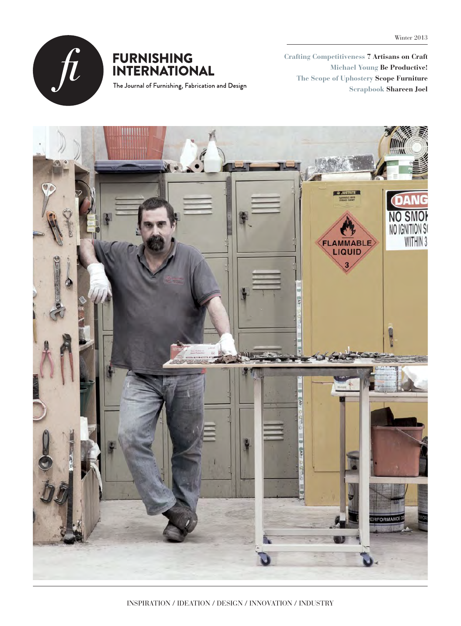

### **FURNISHING INTERNATIONAL**

The Journal of Furnishing, Fabrication and Design

**Crafting Competitiveness 7 Artisans on Craft Michael Young Be Productive! The Scope of Uphostery Scope Furniture Scrapbook Shareen Joel**

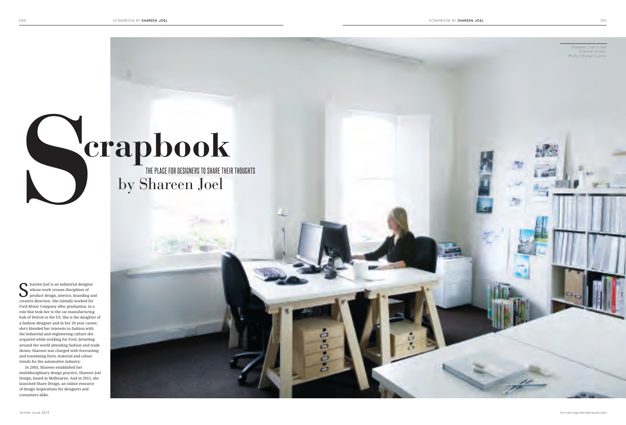S hareen Joel is an industrial designer<br>
whose work crosses disciplines of<br>
product design, interior, branding and<br>
product design, interior, branding and<br>
product design, interior, branding for whose work crosses disciplines of creative direction. She initially worked for Ford Motor Company after graduation, in a role that took her to the car manufacturing hub of Detroit in the US. She is the daughter of a fashion designer and in her 20 year career, she's blended her interests in fashion with the industrial and engineering culture she acquired while working for Ford. Jetsetting around the world attending fashion and trade shows, Shareen was charged with forecasting and translating form, material and colour trends for the automotive industry.

In 2003, Shareen established her multidisciplinary design practice, Shareen Joel Design, based in Melbourne. And in 2011, she launched Share Design, an online resource of design inspirations for designers and consumers alike.

Winter Issue 2013





# **crapbook**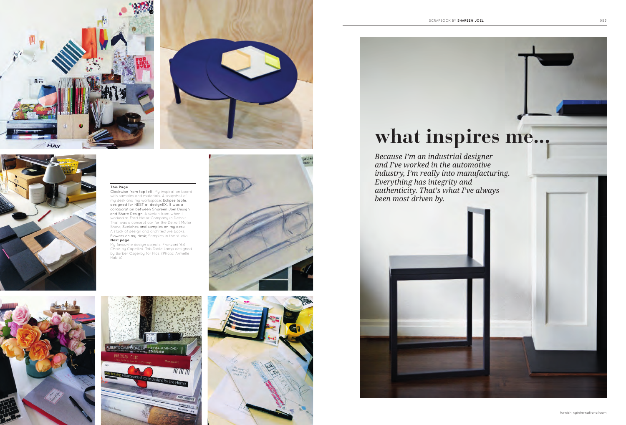furnishinginternational.com







#### **This Page**

Clockwise from top left: My inspiration board with samples and materials. A snapshot of my desk and my workspace; Eclipse table, designed for NEST at designEX. It was a collaboration between Shareen Joel Design and Share Design; A sketch from when I worked at Ford Motor Company in Detroit. That was a concept car for the Detroit Motor Show; Sketches and samples on my desk; A stack of design and architecture books; Flowers on my desk; Samples in the studio **Next page**

My favourite design objects. Fronzoni '64 Chair by Capellini. Tab Table Lamp designed by Barber Osgerby for Flos. (Photo: Armelle Habib)









## **what inspires me...**

*Because I'm an industrial designer and I've worked in the automotive industry, I'm really into manufacturing. Everything has integrity and authenticity. That's what I've always been most driven by.* 



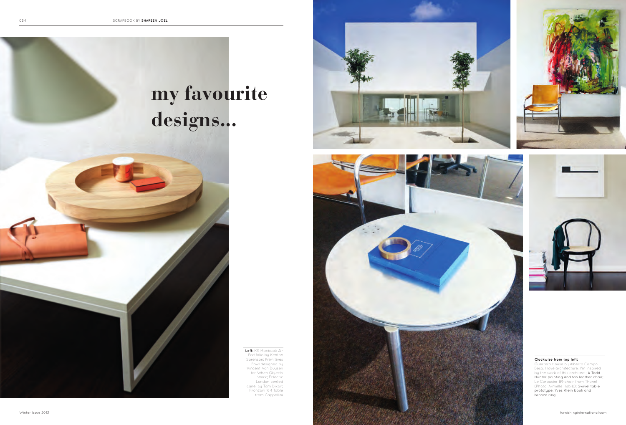



#### **Clockwise from top left:**

Guerrero House by Alberto Campo Besa. I love architecture. I'm inspired by the work of this architect; A Todd Hunter painting and tan leather chair; Le Corbusier B9 chair from Thonet (Photo: Armelle Habib); Swivel table prototype, Yves Klein book and bronze ring